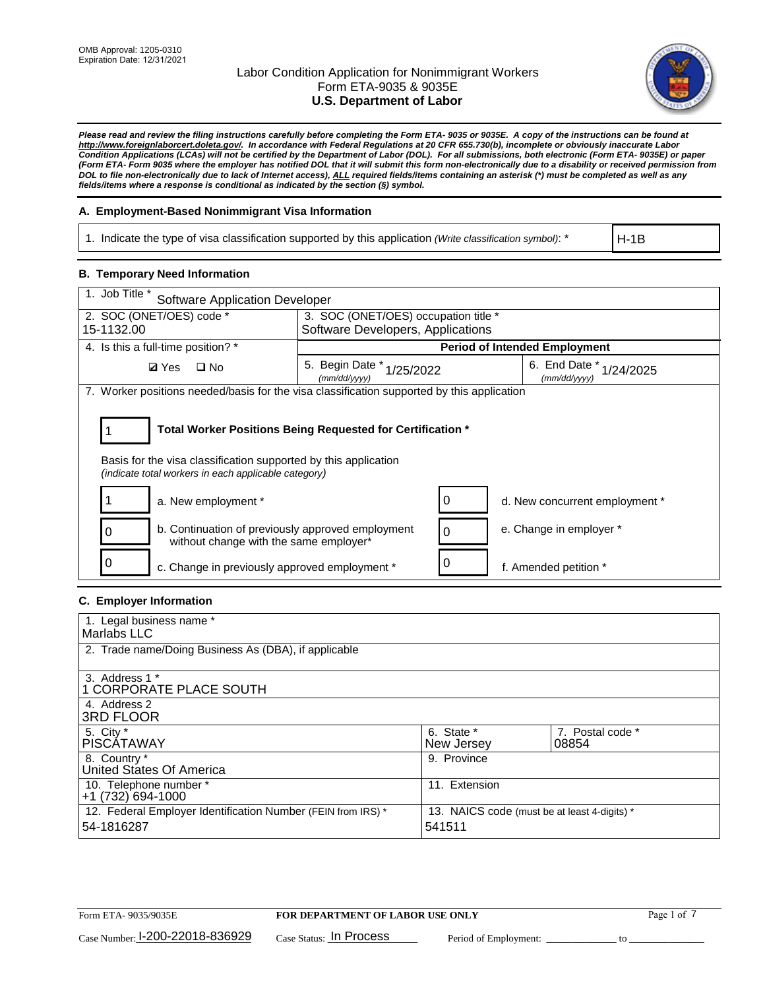

*Please read and review the filing instructions carefully before completing the Form ETA- 9035 or 9035E. A copy of the instructions can be found at http://www.foreignlaborcert.doleta.gov/. In accordance with Federal Regulations at 20 CFR 655.730(b), incomplete or obviously inaccurate Labor Condition Applications (LCAs) will not be certified by the Department of Labor (DOL). For all submissions, both electronic (Form ETA- 9035E) or paper (Form ETA- Form 9035 where the employer has notified DOL that it will submit this form non-electronically due to a disability or received permission from DOL to file non-electronically due to lack of Internet access), ALL required fields/items containing an asterisk (\*) must be completed as well as any fields/items where a response is conditional as indicated by the section (§) symbol.* 

## **A. Employment-Based Nonimmigrant Visa Information**

1. Indicate the type of visa classification supported by this application *(Write classification symbol)*: \*

H-1B

### **B. Temporary Need Information**

| 1. Job Title *<br><b>Software Application Developer</b>                                                                                                                               |                                           |  |                                             |  |  |
|---------------------------------------------------------------------------------------------------------------------------------------------------------------------------------------|-------------------------------------------|--|---------------------------------------------|--|--|
| 2. SOC (ONET/OES) code *<br>3. SOC (ONET/OES) occupation title *                                                                                                                      |                                           |  |                                             |  |  |
| 15-1132.00                                                                                                                                                                            | Software Developers, Applications         |  |                                             |  |  |
| 4. Is this a full-time position? *                                                                                                                                                    | <b>Period of Intended Employment</b>      |  |                                             |  |  |
| <b>Ø</b> Yes<br>$\Box$ No                                                                                                                                                             | 5. Begin Date * 1/25/2022<br>(mm/dd/yyyy) |  | 6. End Date $*_{1/24/2025}$<br>(mm/dd/yyyy) |  |  |
| 7. Worker positions needed/basis for the visa classification supported by this application                                                                                            |                                           |  |                                             |  |  |
| Total Worker Positions Being Requested for Certification *<br>Basis for the visa classification supported by this application<br>(indicate total workers in each applicable category) |                                           |  |                                             |  |  |
| a. New employment *                                                                                                                                                                   |                                           |  | d. New concurrent employment *              |  |  |
| b. Continuation of previously approved employment<br>without change with the same employer*                                                                                           |                                           |  | e. Change in employer *                     |  |  |
| c. Change in previously approved employment *                                                                                                                                         |                                           |  | f. Amended petition *                       |  |  |

## **C. Employer Information**

| 1. Legal business name *                                                   |                                                        |                           |
|----------------------------------------------------------------------------|--------------------------------------------------------|---------------------------|
| Marlabs LLC                                                                |                                                        |                           |
| 2. Trade name/Doing Business As (DBA), if applicable                       |                                                        |                           |
| 3. Address 1 *<br>1 CORPORATE PLACE SOUTH<br>4. Address 2                  |                                                        |                           |
| <b>3RD FLOOR</b>                                                           |                                                        |                           |
| 5. City *<br><b>PISCÁTAWAY</b>                                             | 6. State *<br>New Jersey                               | 7. Postal code *<br>08854 |
| 8. Country *<br>United States Of America                                   | 9. Province                                            |                           |
| 10. Telephone number *<br>$+1(732)694-1000$                                | 11. Extension                                          |                           |
| 12. Federal Employer Identification Number (FEIN from IRS) *<br>54-1816287 | 13. NAICS code (must be at least 4-digits) *<br>541511 |                           |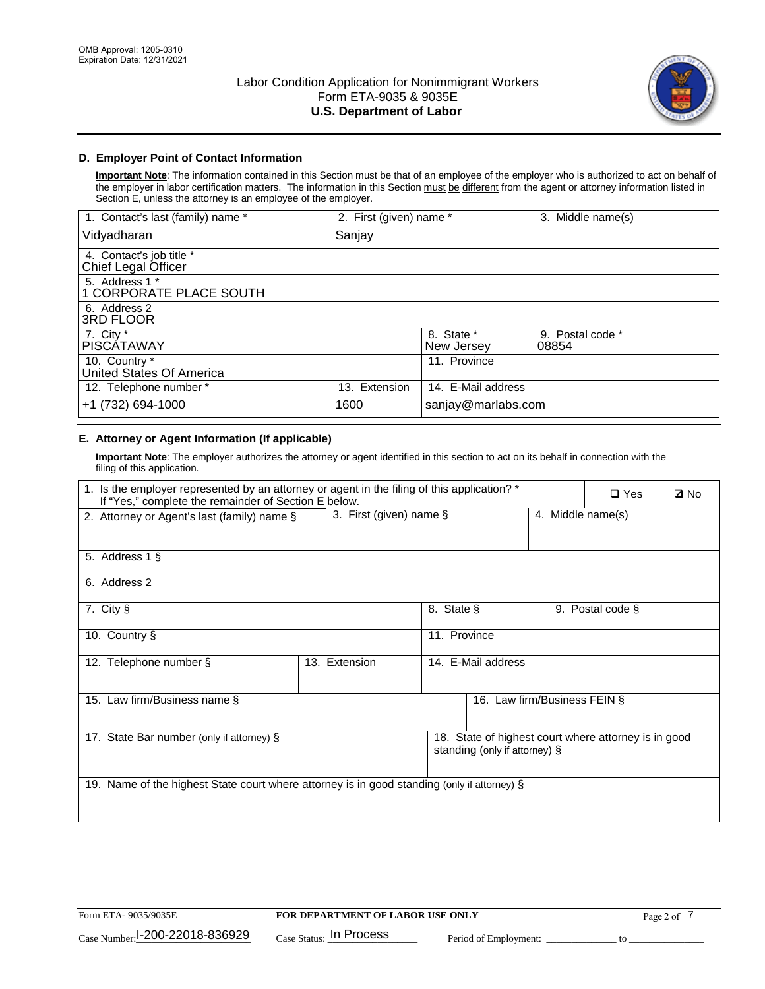

# **D. Employer Point of Contact Information**

**Important Note**: The information contained in this Section must be that of an employee of the employer who is authorized to act on behalf of the employer in labor certification matters. The information in this Section must be different from the agent or attorney information listed in Section E, unless the attorney is an employee of the employer.

| 1. Contact's last (family) name *               | 2. First (given) name * |                          | 3. Middle name(s)         |
|-------------------------------------------------|-------------------------|--------------------------|---------------------------|
| Vidyadharan                                     | Sanjay                  |                          |                           |
| 4. Contact's job title *<br>Chief Legal Officer |                         |                          |                           |
| 5. Address 1 *<br>1 CORPORATE PLACE SOUTH       |                         |                          |                           |
| 6. Address 2<br><b>3RD FLOOR</b>                |                         |                          |                           |
| 7. City *<br><b>PISCÁTAWAY</b>                  |                         | 8. State *<br>New Jersey | 9. Postal code *<br>08854 |
| 10. Country *<br>United States Of America       |                         | 11. Province             |                           |
| 12. Telephone number *                          | 13. Extension           | 14. E-Mail address       |                           |
| +1 (732) 694-1000                               | 1600                    | sanjay@marlabs.com       |                           |

# **E. Attorney or Agent Information (If applicable)**

**Important Note**: The employer authorizes the attorney or agent identified in this section to act on its behalf in connection with the filing of this application.

| 1. Is the employer represented by an attorney or agent in the filing of this application? *<br>If "Yes," complete the remainder of Section E below. |                         |              |                               |                   | $\square$ Yes                                        | <b>ØNo</b> |
|-----------------------------------------------------------------------------------------------------------------------------------------------------|-------------------------|--------------|-------------------------------|-------------------|------------------------------------------------------|------------|
| 2. Attorney or Agent's last (family) name §                                                                                                         | 3. First (given) name § |              |                               | 4. Middle name(s) |                                                      |            |
| 5. Address 1 §                                                                                                                                      |                         |              |                               |                   |                                                      |            |
| 6. Address 2                                                                                                                                        |                         |              |                               |                   |                                                      |            |
| 7. City §                                                                                                                                           |                         | 8. State §   |                               |                   | 9. Postal code §                                     |            |
| 10. Country §                                                                                                                                       |                         | 11. Province |                               |                   |                                                      |            |
| 12. Telephone number §                                                                                                                              | 13. Extension           |              | 14. E-Mail address            |                   |                                                      |            |
| 15. Law firm/Business name §                                                                                                                        |                         |              | 16. Law firm/Business FEIN §  |                   |                                                      |            |
| 17. State Bar number (only if attorney) §                                                                                                           |                         |              | standing (only if attorney) § |                   | 18. State of highest court where attorney is in good |            |
| 19. Name of the highest State court where attorney is in good standing (only if attorney) §                                                         |                         |              |                               |                   |                                                      |            |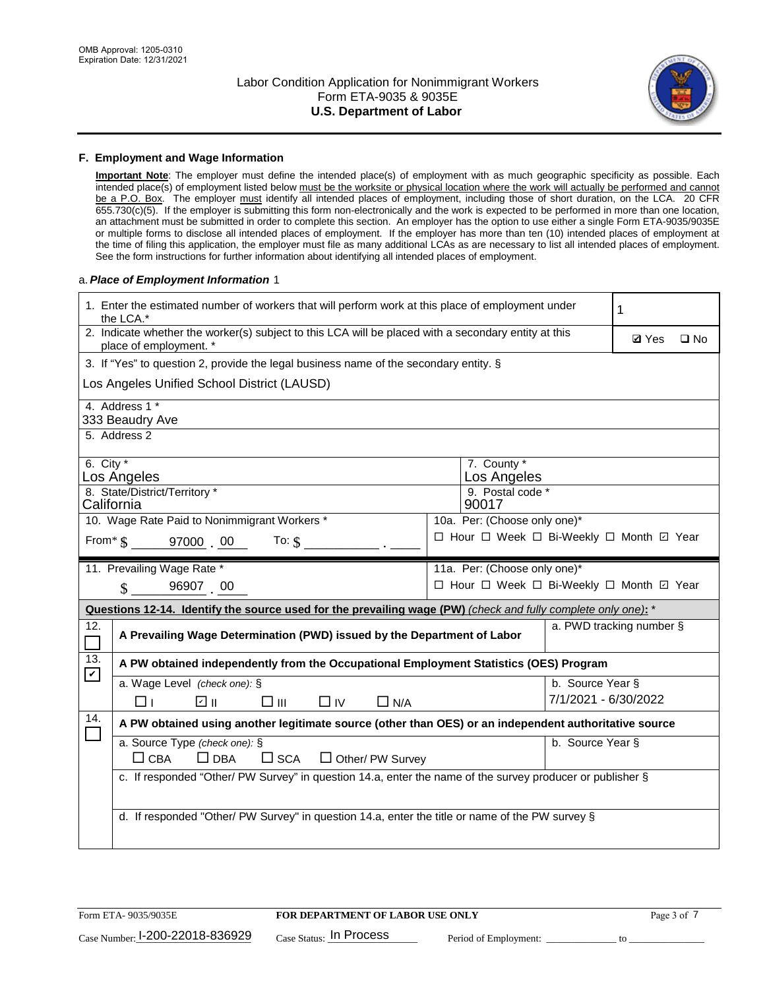

### **F. Employment and Wage Information**

**Important Note**: The employer must define the intended place(s) of employment with as much geographic specificity as possible. Each intended place(s) of employment listed below must be the worksite or physical location where the work will actually be performed and cannot be a P.O. Box. The employer must identify all intended places of employment, including those of short duration, on the LCA. 20 CFR 655.730(c)(5). If the employer is submitting this form non-electronically and the work is expected to be performed in more than one location, an attachment must be submitted in order to complete this section. An employer has the option to use either a single Form ETA-9035/9035E or multiple forms to disclose all intended places of employment. If the employer has more than ten (10) intended places of employment at the time of filing this application, the employer must file as many additional LCAs as are necessary to list all intended places of employment. See the form instructions for further information about identifying all intended places of employment.

### a.*Place of Employment Information* 1

|                                                                              | 1. Enter the estimated number of workers that will perform work at this place of employment under<br>the LCA.*                 |  |                                          |                          |              |              |  |
|------------------------------------------------------------------------------|--------------------------------------------------------------------------------------------------------------------------------|--|------------------------------------------|--------------------------|--------------|--------------|--|
|                                                                              | 2. Indicate whether the worker(s) subject to this LCA will be placed with a secondary entity at this<br>place of employment. * |  |                                          |                          | <b>Ø</b> Yes | $\square$ No |  |
|                                                                              | 3. If "Yes" to question 2, provide the legal business name of the secondary entity. §                                          |  |                                          |                          |              |              |  |
|                                                                              | Los Angeles Unified School District (LAUSD)                                                                                    |  |                                          |                          |              |              |  |
|                                                                              | 4. Address 1 *<br>333 Beaudry Ave                                                                                              |  |                                          |                          |              |              |  |
|                                                                              | 5. Address 2                                                                                                                   |  |                                          |                          |              |              |  |
| 6. City $*$                                                                  | Los Angeles                                                                                                                    |  | 7. County *<br>Los Angeles               |                          |              |              |  |
| 8. State/District/Territory *<br>9. Postal code *<br>California<br>90017     |                                                                                                                                |  |                                          |                          |              |              |  |
| 10. Wage Rate Paid to Nonimmigrant Workers *<br>10a. Per: (Choose only one)* |                                                                                                                                |  |                                          |                          |              |              |  |
|                                                                              | □ Hour □ Week □ Bi-Weekly □ Month ☑ Year<br>From $\$$ 97000 00<br>To: $$$                                                      |  |                                          |                          |              |              |  |
|                                                                              | 11. Prevailing Wage Rate *<br>11a. Per: (Choose only one)*                                                                     |  |                                          |                          |              |              |  |
|                                                                              | $\sin 96907$ 00                                                                                                                |  | □ Hour □ Week □ Bi-Weekly □ Month ☑ Year |                          |              |              |  |
|                                                                              | Questions 12-14. Identify the source used for the prevailing wage (PW) (check and fully complete only one): *                  |  |                                          |                          |              |              |  |
| 12.                                                                          | A Prevailing Wage Determination (PWD) issued by the Department of Labor                                                        |  |                                          | a. PWD tracking number § |              |              |  |
| 13.<br>$\blacktriangledown$                                                  | A PW obtained independently from the Occupational Employment Statistics (OES) Program                                          |  |                                          |                          |              |              |  |
|                                                                              | a. Wage Level (check one): §                                                                                                   |  |                                          | b. Source Year §         |              |              |  |
|                                                                              | ☑ ⊪<br>□⊪<br>$\Box$ IV<br>⊓⊥<br>$\Box$ N/A                                                                                     |  |                                          | 7/1/2021 - 6/30/2022     |              |              |  |
| 14.                                                                          | A PW obtained using another legitimate source (other than OES) or an independent authoritative source                          |  |                                          |                          |              |              |  |
|                                                                              | a. Source Type (check one): §                                                                                                  |  |                                          | b. Source Year §         |              |              |  |
|                                                                              | $\Box$ CBA<br>$\Box$ DBA<br>$\square$ SCA<br>$\Box$ Other/ PW Survey                                                           |  |                                          |                          |              |              |  |
|                                                                              | c. If responded "Other/ PW Survey" in question 14.a, enter the name of the survey producer or publisher §                      |  |                                          |                          |              |              |  |
|                                                                              |                                                                                                                                |  |                                          |                          |              |              |  |
|                                                                              | d. If responded "Other/ PW Survey" in question 14.a, enter the title or name of the PW survey §                                |  |                                          |                          |              |              |  |
|                                                                              |                                                                                                                                |  |                                          |                          |              |              |  |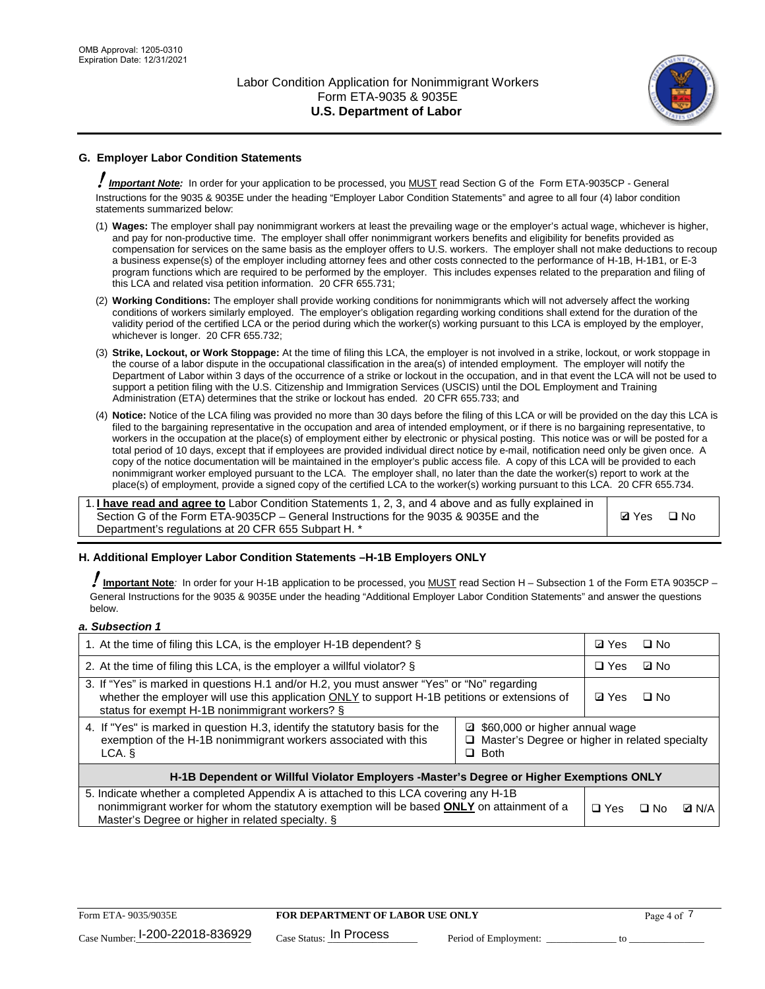

# **G. Employer Labor Condition Statements**

! *Important Note:* In order for your application to be processed, you MUST read Section G of the Form ETA-9035CP - General Instructions for the 9035 & 9035E under the heading "Employer Labor Condition Statements" and agree to all four (4) labor condition statements summarized below:

- (1) **Wages:** The employer shall pay nonimmigrant workers at least the prevailing wage or the employer's actual wage, whichever is higher, and pay for non-productive time. The employer shall offer nonimmigrant workers benefits and eligibility for benefits provided as compensation for services on the same basis as the employer offers to U.S. workers. The employer shall not make deductions to recoup a business expense(s) of the employer including attorney fees and other costs connected to the performance of H-1B, H-1B1, or E-3 program functions which are required to be performed by the employer. This includes expenses related to the preparation and filing of this LCA and related visa petition information. 20 CFR 655.731;
- (2) **Working Conditions:** The employer shall provide working conditions for nonimmigrants which will not adversely affect the working conditions of workers similarly employed. The employer's obligation regarding working conditions shall extend for the duration of the validity period of the certified LCA or the period during which the worker(s) working pursuant to this LCA is employed by the employer, whichever is longer. 20 CFR 655.732;
- (3) **Strike, Lockout, or Work Stoppage:** At the time of filing this LCA, the employer is not involved in a strike, lockout, or work stoppage in the course of a labor dispute in the occupational classification in the area(s) of intended employment. The employer will notify the Department of Labor within 3 days of the occurrence of a strike or lockout in the occupation, and in that event the LCA will not be used to support a petition filing with the U.S. Citizenship and Immigration Services (USCIS) until the DOL Employment and Training Administration (ETA) determines that the strike or lockout has ended. 20 CFR 655.733; and
- (4) **Notice:** Notice of the LCA filing was provided no more than 30 days before the filing of this LCA or will be provided on the day this LCA is filed to the bargaining representative in the occupation and area of intended employment, or if there is no bargaining representative, to workers in the occupation at the place(s) of employment either by electronic or physical posting. This notice was or will be posted for a total period of 10 days, except that if employees are provided individual direct notice by e-mail, notification need only be given once. A copy of the notice documentation will be maintained in the employer's public access file. A copy of this LCA will be provided to each nonimmigrant worker employed pursuant to the LCA. The employer shall, no later than the date the worker(s) report to work at the place(s) of employment, provide a signed copy of the certified LCA to the worker(s) working pursuant to this LCA. 20 CFR 655.734.

1. **I have read and agree to** Labor Condition Statements 1, 2, 3, and 4 above and as fully explained in Section G of the Form ETA-9035CP – General Instructions for the 9035 & 9035E and the Department's regulations at 20 CFR 655 Subpart H. \*

**Ø**Yes ロNo

### **H. Additional Employer Labor Condition Statements –H-1B Employers ONLY**

!**Important Note***:* In order for your H-1B application to be processed, you MUST read Section H – Subsection 1 of the Form ETA 9035CP – General Instructions for the 9035 & 9035E under the heading "Additional Employer Labor Condition Statements" and answer the questions below.

#### *a. Subsection 1*

| 1. At the time of filing this LCA, is the employer H-1B dependent? §                                                                                                                                                                                            |  | ⊡ Yes | $\square$ No |              |
|-----------------------------------------------------------------------------------------------------------------------------------------------------------------------------------------------------------------------------------------------------------------|--|-------|--------------|--------------|
| 2. At the time of filing this LCA, is the employer a willful violator? $\S$                                                                                                                                                                                     |  |       | ⊡ No         |              |
| 3. If "Yes" is marked in questions H.1 and/or H.2, you must answer "Yes" or "No" regarding<br>whether the employer will use this application ONLY to support H-1B petitions or extensions of<br>status for exempt H-1B nonimmigrant workers? §                  |  |       | $\Box$ No    |              |
| 4. If "Yes" is marked in question H.3, identify the statutory basis for the<br>■ \$60,000 or higher annual wage<br>exemption of the H-1B nonimmigrant workers associated with this<br>□ Master's Degree or higher in related specialty<br>$\Box$ Both<br>LCA. § |  |       |              |              |
| H-1B Dependent or Willful Violator Employers -Master's Degree or Higher Exemptions ONLY                                                                                                                                                                         |  |       |              |              |
| 5. Indicate whether a completed Appendix A is attached to this LCA covering any H-1B<br>nonimmigrant worker for whom the statutory exemption will be based <b>ONLY</b> on attainment of a<br>Master's Degree or higher in related specialty. §                  |  |       | ⊡ No         | <b>Q</b> N/A |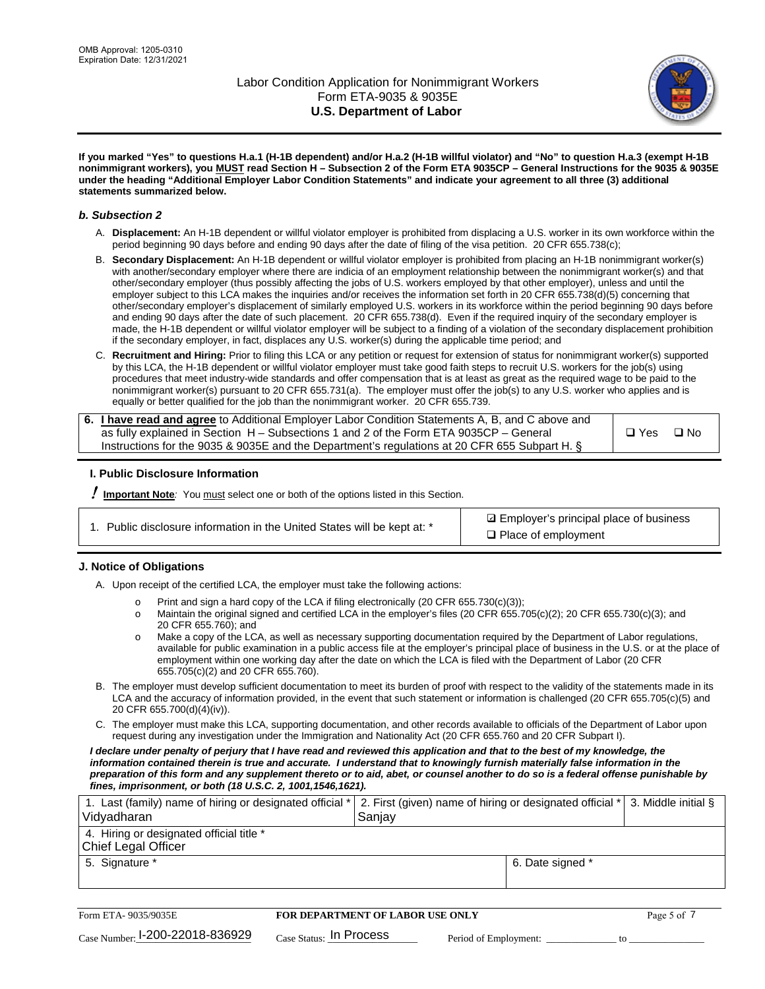

**If you marked "Yes" to questions H.a.1 (H-1B dependent) and/or H.a.2 (H-1B willful violator) and "No" to question H.a.3 (exempt H-1B nonimmigrant workers), you MUST read Section H – Subsection 2 of the Form ETA 9035CP – General Instructions for the 9035 & 9035E under the heading "Additional Employer Labor Condition Statements" and indicate your agreement to all three (3) additional statements summarized below.**

### *b. Subsection 2*

- A. **Displacement:** An H-1B dependent or willful violator employer is prohibited from displacing a U.S. worker in its own workforce within the period beginning 90 days before and ending 90 days after the date of filing of the visa petition. 20 CFR 655.738(c);
- B. **Secondary Displacement:** An H-1B dependent or willful violator employer is prohibited from placing an H-1B nonimmigrant worker(s) with another/secondary employer where there are indicia of an employment relationship between the nonimmigrant worker(s) and that other/secondary employer (thus possibly affecting the jobs of U.S. workers employed by that other employer), unless and until the employer subject to this LCA makes the inquiries and/or receives the information set forth in 20 CFR 655.738(d)(5) concerning that other/secondary employer's displacement of similarly employed U.S. workers in its workforce within the period beginning 90 days before and ending 90 days after the date of such placement. 20 CFR 655.738(d). Even if the required inquiry of the secondary employer is made, the H-1B dependent or willful violator employer will be subject to a finding of a violation of the secondary displacement prohibition if the secondary employer, in fact, displaces any U.S. worker(s) during the applicable time period; and
- C. **Recruitment and Hiring:** Prior to filing this LCA or any petition or request for extension of status for nonimmigrant worker(s) supported by this LCA, the H-1B dependent or willful violator employer must take good faith steps to recruit U.S. workers for the job(s) using procedures that meet industry-wide standards and offer compensation that is at least as great as the required wage to be paid to the nonimmigrant worker(s) pursuant to 20 CFR 655.731(a). The employer must offer the job(s) to any U.S. worker who applies and is equally or better qualified for the job than the nonimmigrant worker. 20 CFR 655.739.

| 6. I have read and agree to Additional Employer Labor Condition Statements A, B, and C above and |       |           |
|--------------------------------------------------------------------------------------------------|-------|-----------|
| as fully explained in Section H – Subsections 1 and 2 of the Form ETA 9035CP – General           | □ Yes | $\Box$ No |
| Instructions for the 9035 & 9035E and the Department's regulations at 20 CFR 655 Subpart H. §    |       |           |

### **I. Public Disclosure Information**

! **Important Note***:* You must select one or both of the options listed in this Section.

| 1. Public disclosure information in the United States will be kept at: * |  |  |  |  |  |  |  |
|--------------------------------------------------------------------------|--|--|--|--|--|--|--|
|--------------------------------------------------------------------------|--|--|--|--|--|--|--|

**sqrt** Employer's principal place of business □ Place of employment

### **J. Notice of Obligations**

A. Upon receipt of the certified LCA, the employer must take the following actions:

- o Print and sign a hard copy of the LCA if filing electronically (20 CFR 655.730(c)(3));<br>
Maintain the original signed and certified LCA in the employer's files (20 CFR 655.7
- Maintain the original signed and certified LCA in the employer's files (20 CFR 655.705(c)(2); 20 CFR 655.730(c)(3); and 20 CFR 655.760); and
- o Make a copy of the LCA, as well as necessary supporting documentation required by the Department of Labor regulations, available for public examination in a public access file at the employer's principal place of business in the U.S. or at the place of employment within one working day after the date on which the LCA is filed with the Department of Labor (20 CFR 655.705(c)(2) and 20 CFR 655.760).
- B. The employer must develop sufficient documentation to meet its burden of proof with respect to the validity of the statements made in its LCA and the accuracy of information provided, in the event that such statement or information is challenged (20 CFR 655.705(c)(5) and 20 CFR 655.700(d)(4)(iv)).
- C. The employer must make this LCA, supporting documentation, and other records available to officials of the Department of Labor upon request during any investigation under the Immigration and Nationality Act (20 CFR 655.760 and 20 CFR Subpart I).

*I declare under penalty of perjury that I have read and reviewed this application and that to the best of my knowledge, the*  information contained therein is true and accurate. I understand that to knowingly furnish materially false information in the *preparation of this form and any supplement thereto or to aid, abet, or counsel another to do so is a federal offense punishable by fines, imprisonment, or both (18 U.S.C. 2, 1001,1546,1621).*

| 1. Last (family) name of hiring or designated official *<br>Vidyadharan | 2. First (given) name of hiring or designated official * 3. Middle initial §<br>Sanjay |                  |  |
|-------------------------------------------------------------------------|----------------------------------------------------------------------------------------|------------------|--|
| 4. Hiring or designated official title *<br>Chief Legal Officer         |                                                                                        |                  |  |
| 5. Signature *                                                          |                                                                                        | 6. Date signed * |  |

| Form ETA-9035/9035E                         | FOR DEPARTMENT OF LABOR USE ONLY | Page 5 of 1           |  |
|---------------------------------------------|----------------------------------|-----------------------|--|
| $_{\text{Case Number:}}$ I-200-22018-836929 | $_{Case\; Status:}$ In Process   | Period of Employment: |  |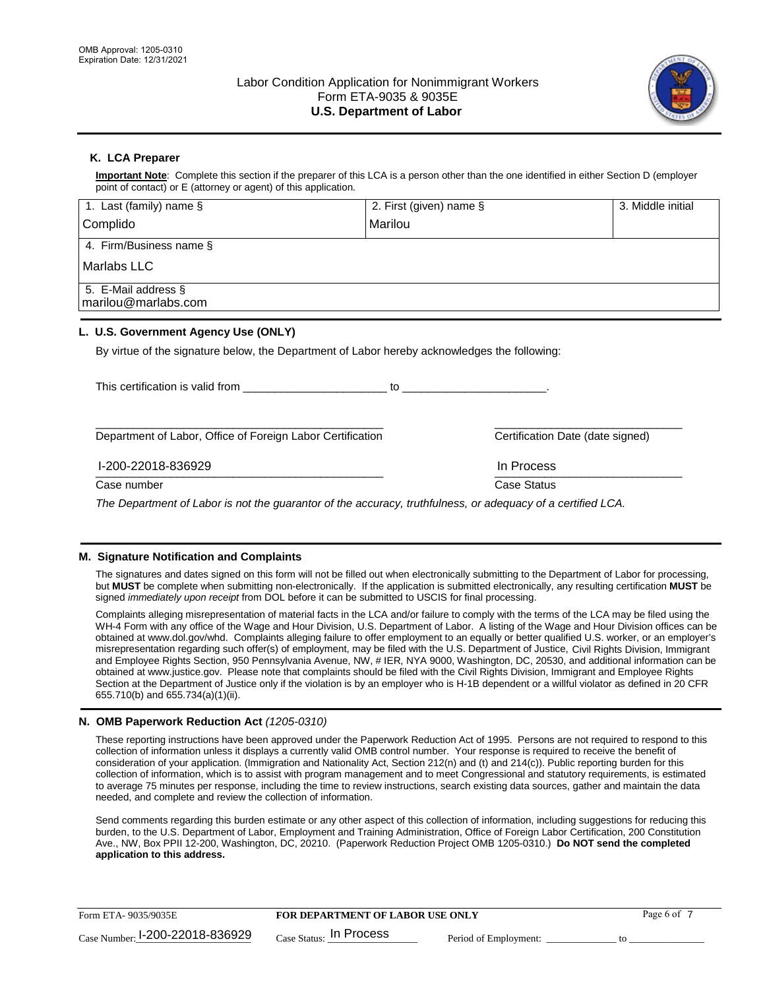

## **K. LCA Preparer**

**Important Note**: Complete this section if the preparer of this LCA is a person other than the one identified in either Section D (employer point of contact) or E (attorney or agent) of this application.

| 1. Last (family) name $\S$                                                                   | 2. First (given) name §                                                                                                                                                                                                        | 3. Middle initial                |
|----------------------------------------------------------------------------------------------|--------------------------------------------------------------------------------------------------------------------------------------------------------------------------------------------------------------------------------|----------------------------------|
| Complido                                                                                     | Marilou                                                                                                                                                                                                                        |                                  |
| 4. Firm/Business name §                                                                      |                                                                                                                                                                                                                                |                                  |
| Marlabs LLC                                                                                  |                                                                                                                                                                                                                                |                                  |
| 5. E-Mail address §<br>marilou@marlabs.com                                                   |                                                                                                                                                                                                                                |                                  |
| L. U.S. Government Agency Use (ONLY)                                                         |                                                                                                                                                                                                                                |                                  |
| By virtue of the signature below, the Department of Labor hereby acknowledges the following: |                                                                                                                                                                                                                                |                                  |
| This certification is valid from                                                             | to the contract of the contract of the contract of the contract of the contract of the contract of the contract of the contract of the contract of the contract of the contract of the contract of the contract of the contrac |                                  |
| Department of Labor, Office of Foreign Labor Certification                                   |                                                                                                                                                                                                                                | Certification Date (date signed) |

 $\frac{1111100688}{1111100688}$ I-200-22018-836929 In Process

Case number **Case Status** Case Status **Case Status** 

*The Department of Labor is not the guarantor of the accuracy, truthfulness, or adequacy of a certified LCA.*

### **M. Signature Notification and Complaints**

The signatures and dates signed on this form will not be filled out when electronically submitting to the Department of Labor for processing, but **MUST** be complete when submitting non-electronically. If the application is submitted electronically, any resulting certification **MUST** be signed *immediately upon receipt* from DOL before it can be submitted to USCIS for final processing.

Complaints alleging misrepresentation of material facts in the LCA and/or failure to comply with the terms of the LCA may be filed using the WH-4 Form with any office of the Wage and Hour Division, U.S. Department of Labor. A listing of the Wage and Hour Division offices can be obtained at www.dol.gov/whd. Complaints alleging failure to offer employment to an equally or better qualified U.S. worker, or an employer's misrepresentation regarding such offer(s) of employment, may be filed with the U.S. Department of Justice, Civil Rights Division, Immigrant and Employee Rights Section, 950 Pennsylvania Avenue, NW, # IER, NYA 9000, Washington, DC, 20530, and additional information can be obtained at www.justice.gov. Please note that complaints should be filed with the Civil Rights Division, Immigrant and Employee Rights Section at the Department of Justice only if the violation is by an employer who is H-1B dependent or a willful violator as defined in 20 CFR 655.710(b) and 655.734(a)(1)(ii).

### **N. OMB Paperwork Reduction Act** *(1205-0310)*

These reporting instructions have been approved under the Paperwork Reduction Act of 1995. Persons are not required to respond to this collection of information unless it displays a currently valid OMB control number. Your response is required to receive the benefit of consideration of your application. (Immigration and Nationality Act, Section 212(n) and (t) and 214(c)). Public reporting burden for this collection of information, which is to assist with program management and to meet Congressional and statutory requirements, is estimated to average 75 minutes per response, including the time to review instructions, search existing data sources, gather and maintain the data needed, and complete and review the collection of information.

Send comments regarding this burden estimate or any other aspect of this collection of information, including suggestions for reducing this burden, to the U.S. Department of Labor, Employment and Training Administration, Office of Foreign Labor Certification, 200 Constitution Ave., NW, Box PPII 12-200, Washington, DC, 20210. (Paperwork Reduction Project OMB 1205-0310.) **Do NOT send the completed application to this address.**

| Form ETA-9035/9035E             | <b>FOR DEPARTMENT OF LABOR USE ONLY</b> | Page 6 of             |  |
|---------------------------------|-----------------------------------------|-----------------------|--|
| Case Number: 1-200-22018-836929 | $_{\rm Case~S status:}$ In Process      | Period of Employment: |  |